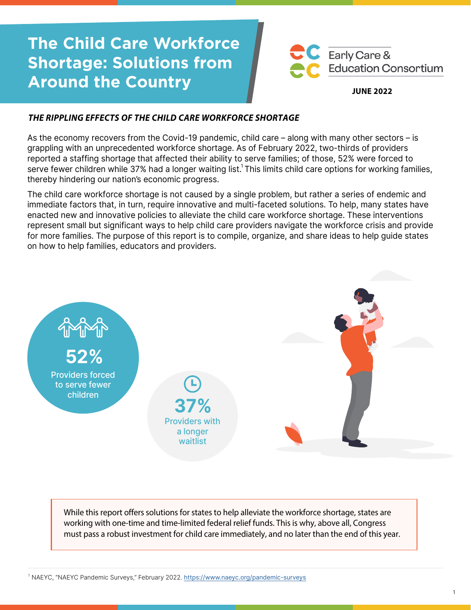# **The Child Care Workforce Shortage: Solutions from Around the Country**



#### **JUNE 2022**

## **THE RIPPLING EFFECTS OF THE CHILD CARE WORKFORCE SHORTAGE**

As the economy recovers from the Covid-19 pandemic, child care – along with many other sectors – is grappling with an unprecedented workforce shortage. As of February 2022, two-thirds of providers reported a staffing shortage that affected their ability to serve families; of those, 52% were forced to serve fewer children while 37% had a longer waiting list.<sup>1</sup> This limits child care options for working families, thereby hindering our nation's economic progress.

The child care workforce shortage is not caused by a single problem, but rather a series of endemic and immediate factors that, in turn, require innovative and multi-faceted solutions. To help, many states have enacted new and innovative policies to alleviate the child care workforce shortage. These interventions represent small but significant ways to help child care providers navigate the workforce crisis and provide for more families. The purpose of this report is to compile, organize, and share ideas to help guide states on how to help families, educators and providers.



While this report offers solutions for states to help alleviate the workforce shortage, states are working with one-time and time-limited federal relief funds. This is why, above all, Congress must pass a robust investment for child care immediately, and no later than the end of this year.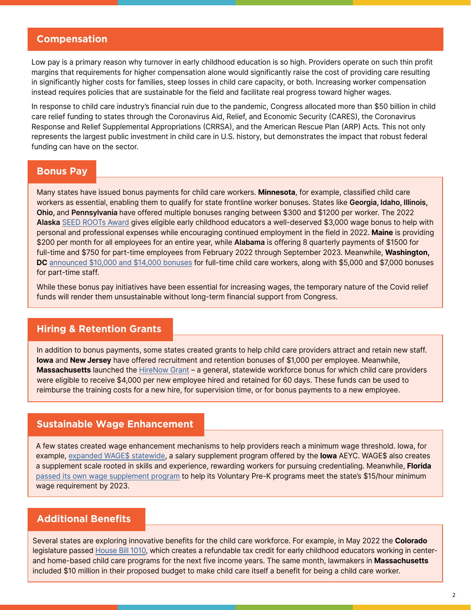## **Compensation**

Low pay is a primary reason why turnover in early childhood education is so high. Providers operate on such thin profit margins that requirements for higher compensation alone would significantly raise the cost of providing care resulting in significantly higher costs for families, steep losses in child care capacity, or both. Increasing worker compensation instead requires policies that are sustainable for the field and facilitate real progress toward higher wages.

In response to child care industry's financial ruin due to the pandemic, Congress allocated more than \$50 billion in child care relief funding to states through the Coronavirus Aid, Relief, and Economic Security (CARES), the Coronavirus Response and Relief Supplemental Appropriations (CRRSA), and the American Rescue Plan (ARP) Acts. This not only represents the largest public investment in child care in U.S. history, but demonstrates the impact that robust federal funding can have on the sector.

#### **Bonus Pay**

Many states have issued bonus payments for child care workers. **Minnesota**, for example, classified child care workers as essential, enabling them to qualify for state frontline worker bonuses. States like **Georgia, Idaho, Illinois, Ohio,** and **Pennsylvania** have offered multiple bonuses ranging between \$300 and \$1200 per worker. The 2022 **Alaska** S[EED ROOTs Award](https://www.threadalaska.org/thread/covid19-resource-center/rootsaward/#:~:text=The%202022%20Alaska%20SEED%20ROOTs%20Award%20amount%20is%20%243%2C000%20per,in%20the%20field%20in%202022.) gives eligible early childhood educators a well-deserved \$3,000 wage bonus to help with personal and professional expenses while encouraging continued employment in the field in 2022. **Maine** is providing \$200 per month for all employees for an entire year, while **Alabama** is offering 8 quarterly payments of \$1500 for full-time and \$750 for part-time employees from February 2022 through September 2023. Meanwhile, **Washington, DC** [announced \\$10,000 and \\$14,000 bonuses](https://www.washingtonpost.com/dc-md-va/2022/02/01/childcare-workers-checks-dc-council/) for full-time child care workers, along with \$5,000 and \$7,000 bonuses for part-time staff.

While these bonus pay initiatives have been essential for increasing wages, the temporary nature of the Covid relief funds will render them unsustainable without long-term financial support from Congress.

## **Hiring & Retention Grants**

In addition to bonus payments, some states created grants to help child care providers attract and retain new staff. **Iowa** and **New Jersey** have offered recruitment and retention bonuses of \$1,000 per employee. Meanwhile, **Massachusetts** launched the [HireNow Grant](https://www.mass.gov/news/baker-polito-administration-launches-hirenow-hiring-and-training-employer-grant-program) – a general, statewide workforce bonus for which child care providers were eligible to receive \$4,000 per new employee hired and retained for 60 days. These funds can be used to reimburse the training costs for a new hire, for supervision time, or for bonus payments to a new employee.

#### **Sustainable Wage Enhancement**

A few states created wage enhancement mechanisms to help providers reach a minimum wage threshold. Iowa, for example, [expanded WAGE\\$ statewide,](http://www.iowaaeyc.org/wage.cfm) a salary supplement program offered by the **Iowa** AEYC. WAGE\$ also creates a supplement scale rooted in skills and experience, rewarding workers for pursuing credentialing. Meanwhile, **Florida** [passed its own wage supplement program](https://www.palmcoastobserver.com/article/florida-senate-budget-includes-historic-funding-increase-for-vpk-program) to help its Voluntary Pre-K programs meet the state's \$15/hour minimum wage requirement by 2023.

## **Additional Benefits**

Several states are exploring innovative benefits for the child care workforce. For example, in May 2022 the **Colorado** legislature passed [House Bill 1010,](https://leg.colorado.gov/bills/hb22-1010) which creates a refundable tax credit for early childhood educators working in centerand home-based child care programs for the next five income years. The same month, lawmakers in **Massachusetts** included \$10 million in their proposed budget to make child care itself a benefit for being a child care worker.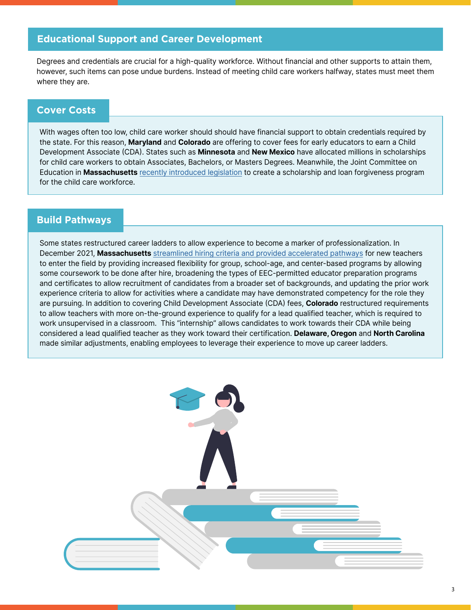# **Educational Support and Career Development**

Degrees and credentials are crucial for a high-quality workforce. Without financial and other supports to attain them, however, such items can pose undue burdens. Instead of meeting child care workers halfway, states must meet them where they are.

## **Cover Costs**

With wages often too low, child care worker should should have financial support to obtain credentials required by the state. For this reason, **Maryland** and **Colorado** are offering to cover fees for early educators to earn a Child Development Associate (CDA). States such as **Minnesota** and **New Mexico** have allocated millions in scholarships for child care workers to obtain Associates, Bachelors, or Masters Degrees. Meanwhile, the Joint Committee on Education in **Massachusetts** [recently introduced legislation](https://commonstartma.org/news/common-start-coalition-commends-early-education-child-care-bill) to create a scholarship and loan forgiveness program for the child care workforce.

## **Build Pathways**

Some states restructured career ladders to allow experience to become a marker of professionalization. In December 2021, **Massachusetts** [streamlined hiring criteria and provided accelerated pathways](https://www.mass.gov/service-details/minimum-hiring-requirements-for-educators) for new teachers to enter the field by providing increased flexibility for group, school-age, and center-based programs by allowing some coursework to be done after hire, broadening the types of EEC-permitted educator preparation programs and certificates to allow recruitment of candidates from a broader set of backgrounds, and updating the prior work experience criteria to allow for activities where a candidate may have demonstrated competency for the role they are pursuing. In addition to covering Child Development Associate (CDA) fees, **Colorado** restructured requirements to allow teachers with more on-the-ground experience to qualify for a lead qualified teacher, which is required to work unsupervised in a classroom. This "internship" allows candidates to work towards their CDA while being considered a lead qualified teacher as they work toward their certification. **Delaware, Oregon** and **North Carolina** made similar adjustments, enabling employees to leverage their experience to move up career ladders.

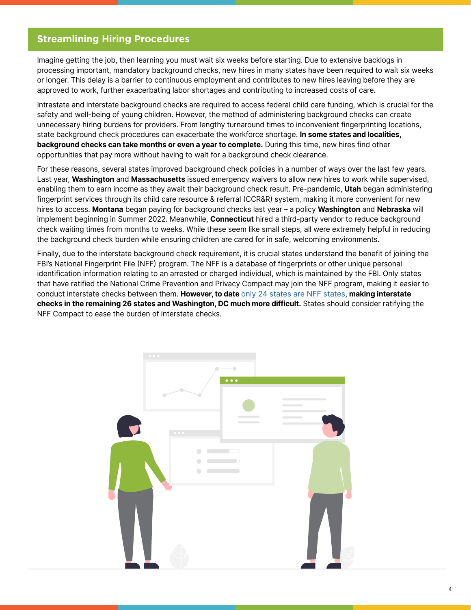## **Streamlining Hiring Procedures**

Imagine getting the job, then learning you must wait six weeks before starting. Due to extensive backlogs in processing important, mandatory background checks, new hires in many states have been required to wait six weeks or longer. This delay is a barrier to continuous employment and contributes to new hires leaving before they are approved to work, further exacerbating labor shortages and contributing to increased costs of care.

Intrastate and interstate background checks are required to access federal child care funding, which is crucial for the safety and well-being of young children. However, the method of administering background checks can create unnecessary hiring burdens for providers. From lengthy turnaround times to inconvenient fingerprinting locations, state background check procedures can exacerbate the workforce shortage. **In some states and localities, background checks can take months or even a year to complete.** During this time, new hires find other opportunities that pay more without having to wait for a background check clearance.

For these reasons, several states improved background check policies in a number of ways over the last few years. Last year, **Washington** and **Massachusetts** issued emergency waivers to allow new hires to work while supervised, enabling them to earn income as they await their background check result. Pre-pandemic, **Utah** began administering fingerprint services through its child care resource & referral (CCR&R) system, making it more convenient for new hires to access. **Montana** began paying for background checks last year – a policy **Washington** and **Nebraska** will implement beginning in Summer 2022. Meanwhile, **Connecticut** hired a third-party vendor to reduce background check waiting times from months to weeks. While these seem like small steps, all were extremely helpful in reducing the background check burden while ensuring children are cared for in safe, welcoming environments.

Finally, due to the interstate background check requirement, it is crucial states understand the benefit of joining the FBI's National Fingerprint File (NFF) program. The NFF is a database of fingerprints or other unique personal identification information relating to an arrested or charged individual, which is maintained by the FBI. Only states that have ratified the National Crime Prevention and Privacy Compact may join the NFF program, making it easier to conduct interstate checks between them. **However, to date** [only 24 states are NFF states](https://www.fbi.gov/services/cjis/compact-council/interstate-identification-index-iii-national-fingerprint-file-nff)**, making interstate checks in the remaining 26 states and Washington, DC much more difficult.** States should consider ratifying the NFF Compact to ease the burden of interstate checks.

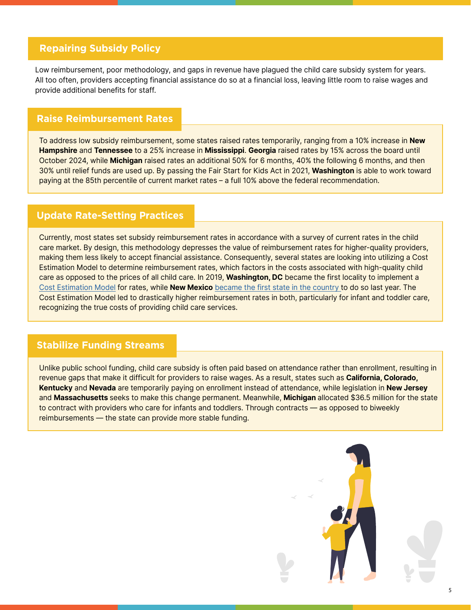## **Repairing Subsidy Policy**

Low reimbursement, poor methodology, and gaps in revenue have plagued the child care subsidy system for years. All too often, providers accepting financial assistance do so at a financial loss, leaving little room to raise wages and provide additional benefits for staff.

#### **Raise Reimbursement Rates**

To address low subsidy reimbursement, some states raised rates temporarily, ranging from a 10% increase in **New Hampshire** and **Tennessee** to a 25% increase in **Mississippi**. **Georgia** raised rates by 15% across the board until October 2024, while **Michigan** raised rates an additional 50% for 6 months, 40% the following 6 months, and then 30% until relief funds are used up. By passing the Fair Start for Kids Act in 2021, **Washington** is able to work toward paying at the 85th percentile of current market rates – a full 10% above the federal recommendation.

#### **Update Rate-Setting Practices**

Currently, most states set subsidy reimbursement rates in accordance with a survey of current rates in the child care market. By design, this methodology depresses the value of reimbursement rates for higher-quality providers, making them less likely to accept financial assistance. Consequently, several states are looking into utilizing a Cost Estimation Model to determine reimbursement rates, which factors in the costs associated with high-quality child care as opposed to the prices of all child care. In 2019, **Washington, DC** became the first locality to implement a [Cost Estimation Model](https://childcareta.acf.hhs.gov/systemsbuilding/systems-guides/financing-strategically/financial-forecasting/cost-estimation-and) for rates, while **New Mexico** [became the first state in the country](https://www.governor.state.nm.us/2021/07/01/n-m-dramatically-expands-child-care-assistance/) to do so last year. The Cost Estimation Model led to drastically higher reimbursement rates in both, particularly for infant and toddler care, recognizing the true costs of providing child care services.

#### **Stabilize Funding Streams**

Unlike public school funding, child care subsidy is often paid based on attendance rather than enrollment, resulting in revenue gaps that make it difficult for providers to raise wages. As a result, states such as **California, Colorado, Kentucky** and **Nevada** are temporarily paying on enrollment instead of attendance, while legislation in **New Jersey** and **Massachusetts** seeks to make this change permanent. Meanwhile, **Michigan** allocated \$36.5 million for the state to contract with providers who care for infants and toddlers. Through contracts — as opposed to biweekly reimbursements — the state can provide more stable funding.